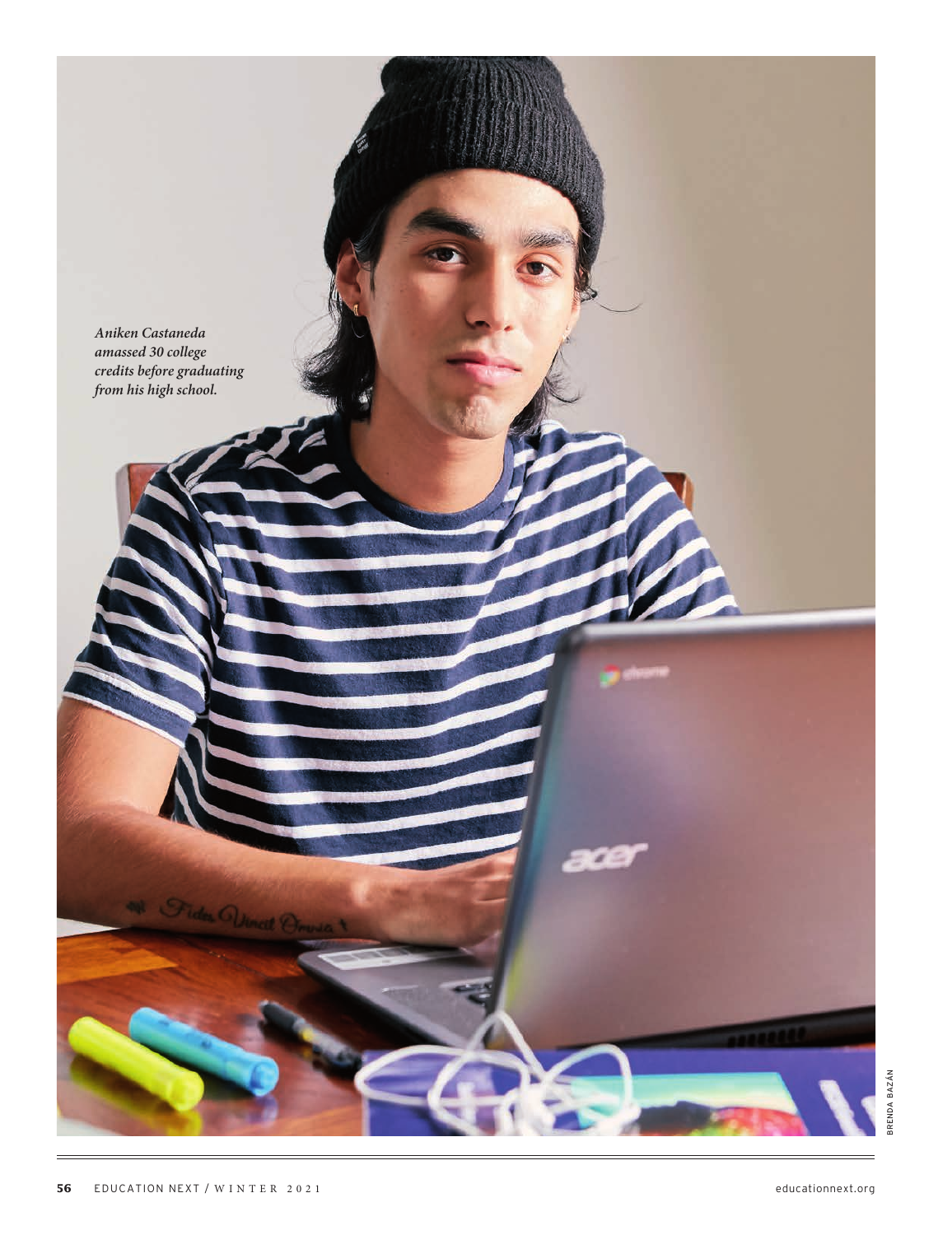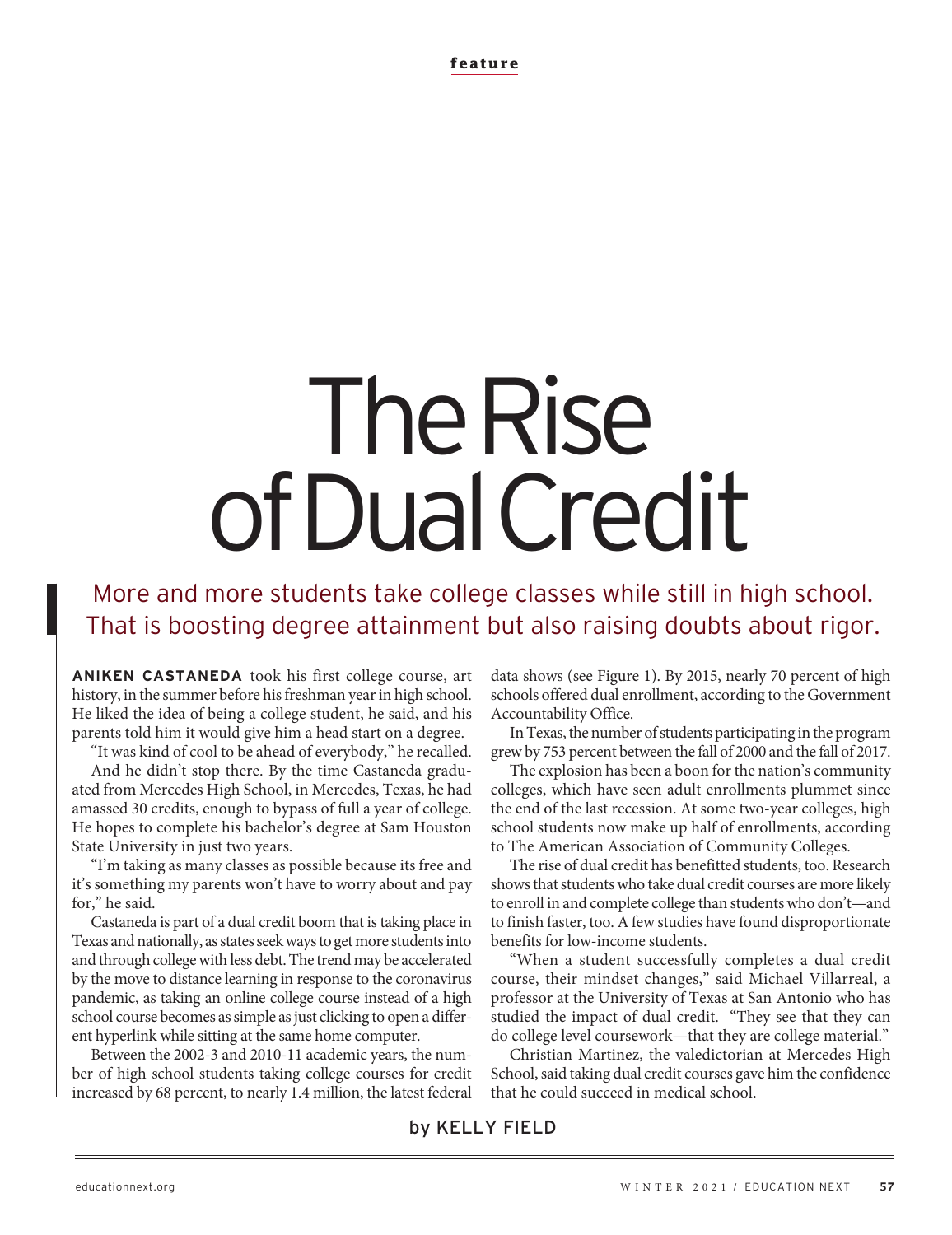**feature**

# The Rise ofDual Credit

More and more students take college classes while still in high school. That is boosting degree attainment but also raising doubts about rigor.

**ANIKEN CASTANEDA** took his first college course, art history, in the summer before his freshman year in high school. He liked the idea of being a college student, he said, and his parents told him it would give him a head start on a degree.

"It was kind of cool to be ahead of everybody," he recalled.

And he didn't stop there. By the time Castaneda graduated from Mercedes High School, in Mercedes, Texas, he had amassed 30 credits, enough to bypass of full a year of college. He hopes to complete his bachelor's degree at Sam Houston State University in just two years.

"I'm taking as many classes as possible because its free and it's something my parents won't have to worry about and pay for," he said.

Castaneda is part of a dual credit boom that is taking place in Texas and nationally, as states seek ways to get more students into and through college with less debt. The trend may be accelerated by the move to distance learning in response to the coronavirus pandemic, as taking an online college course instead of a high school course becomes as simple as just clicking to open a different hyperlink while sitting at the same home computer.

Between the 2002-3 and 2010-11 academic years, the number of high school students taking college courses for credit increased by 68 percent, to nearly 1.4 million, the latest federal data shows (see Figure 1). By 2015, nearly 70 percent of high schools offered dual enrollment, according to the Government Accountability Office.

In Texas, the number of students participating in the program grew by 753 percent between the fall of 2000 and the fall of 2017.

The explosion has been a boon for the nation's community colleges, which have seen adult enrollments plummet since the end of the last recession. At some two-year colleges, high school students now make up half of enrollments, according to The American Association of Community Colleges.

The rise of dual credit has benefitted students, too. Research shows that students who take dual credit courses are more likely to enroll in and complete college than students who don't—and to finish faster, too. A few studies have found disproportionate benefits for low-income students.

"When a student successfully completes a dual credit course, their mindset changes," said Michael Villarreal, a professor at the University of Texas at San Antonio who has studied the impact of dual credit. "They see that they can do college level coursework—that they are college material."

Christian Martinez, the valedictorian at Mercedes High School, said taking dual credit courses gave him the confidence that he could succeed in medical school.

## by KELLY FIELD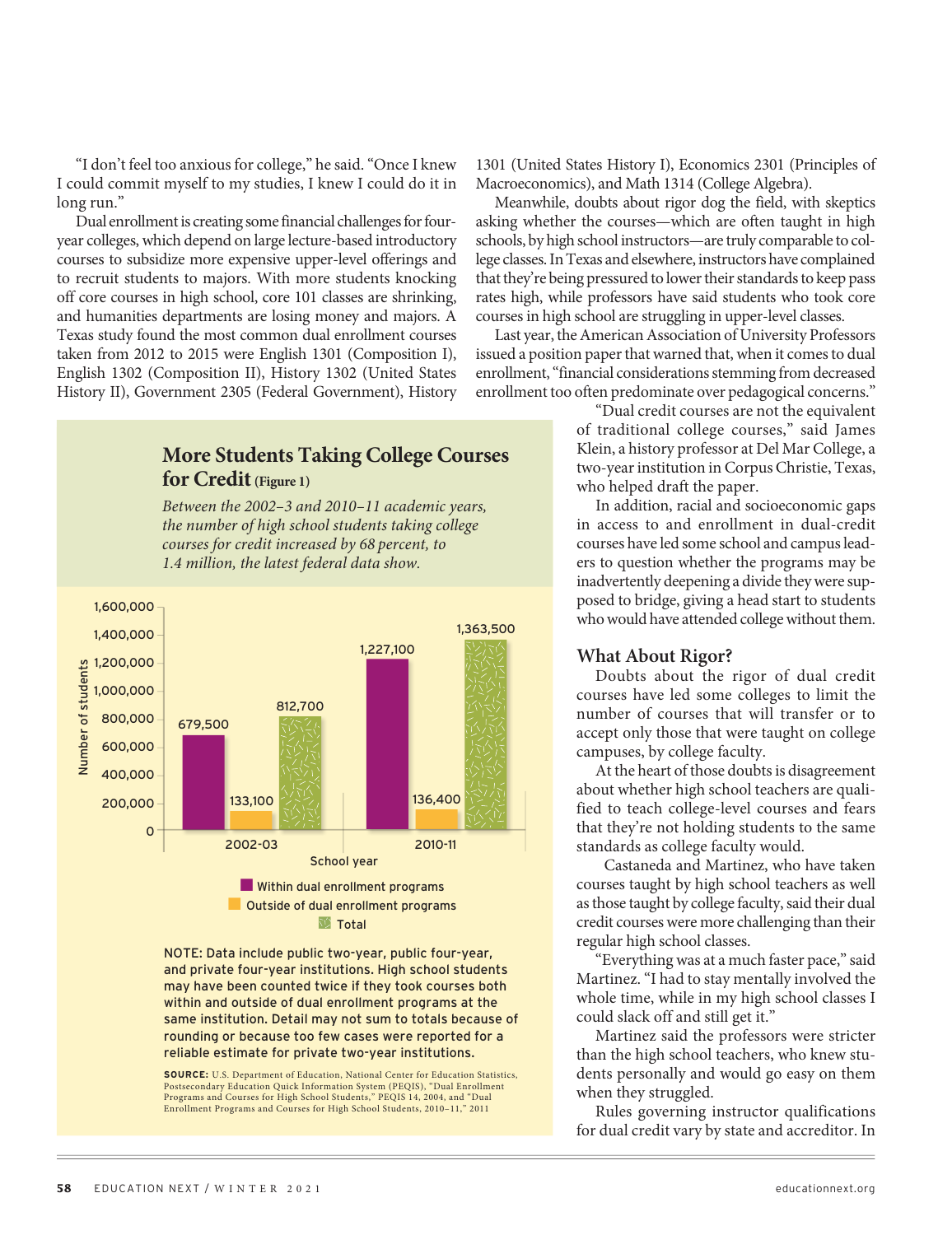"I don't feel too anxious for college," he said. "Once I knew I could commit myself to my studies, I knew I could do it in long run."

Dual enrollment is creating some financial challenges for fouryear colleges, which depend on large lecture-based introductory courses to subsidize more expensive upper-level offerings and to recruit students to majors. With more students knocking off core courses in high school, core 101 classes are shrinking, and humanities departments are losing money and majors. A Texas study found the most common dual enrollment courses taken from 2012 to 2015 were English 1301 (Composition I), English 1302 (Composition II), History 1302 (United States History II), Government 2305 (Federal Government), History

# **More Students Taking College Courses for Credit (Figure 1)**

*Between the 2002–3 and 2010–11 academic years, the number of high school students taking college courses for credit increased by 68 percent, to 1.4 million, the latest federal data show.*



NOTE: Data include public two-year, public four-year, and private four-year institutions. High school students may have been counted twice if they took courses both within and outside of dual enrollment programs at the same institution. Detail may not sum to totals because of rounding or because too few cases were reported for a reliable estimate for private two-year institutions.

**SOURCE:** U.S. Department of Education, National Center for Education Statistics, Postsecondary Education Quick Information System (PEQIS), "Dual Enrollment Programs and Courses for High School Students," PEQIS 14, 2004, and "Dual Enrollment Programs and Courses for High School Students, 2010–11," 2011

1301 (United States History I), Economics 2301 (Principles of Macroeconomics), and Math 1314 (College Algebra).

Meanwhile, doubts about rigor dog the field, with skeptics asking whether the courses—which are often taught in high schools, by high school instructors—are truly comparable to college classes. In Texas and elsewhere, instructors have complained that they're being pressured to lower their standards to keep pass rates high, while professors have said students who took core courses in high school are struggling in upper-level classes.

Last year, the American Association of University Professors issued a position paper that warned that, when it comes to dual enrollment, "financial considerations stemming from decreased enrollment too often predominate over pedagogical concerns."

> "Dual credit courses are not the equivalent of traditional college courses," said James Klein, a history professor at Del Mar College, a two-year institution in Corpus Christie, Texas, who helped draft the paper.

> In addition, racial and socioeconomic gaps in access to and enrollment in dual-credit courses have led some school and campus leaders to question whether the programs may be inadvertently deepening a divide they were supposed to bridge, giving a head start to students who would have attended college without them.

### **What About Rigor?**

Doubts about the rigor of dual credit courses have led some colleges to limit the number of courses that will transfer or to accept only those that were taught on college campuses, by college faculty.

At the heart of those doubts is disagreement about whether high school teachers are qualified to teach college-level courses and fears that they're not holding students to the same standards as college faculty would.

 Castaneda and Martinez, who have taken courses taught by high school teachers as well as those taught by college faculty, said their dual credit courses were more challenging than their regular high school classes.

"Everything was at a much faster pace," said Martinez. "I had to stay mentally involved the whole time, while in my high school classes I could slack off and still get it."

Martinez said the professors were stricter than the high school teachers, who knew students personally and would go easy on them when they struggled.

Rules governing instructor qualifications for dual credit vary by state and accreditor. In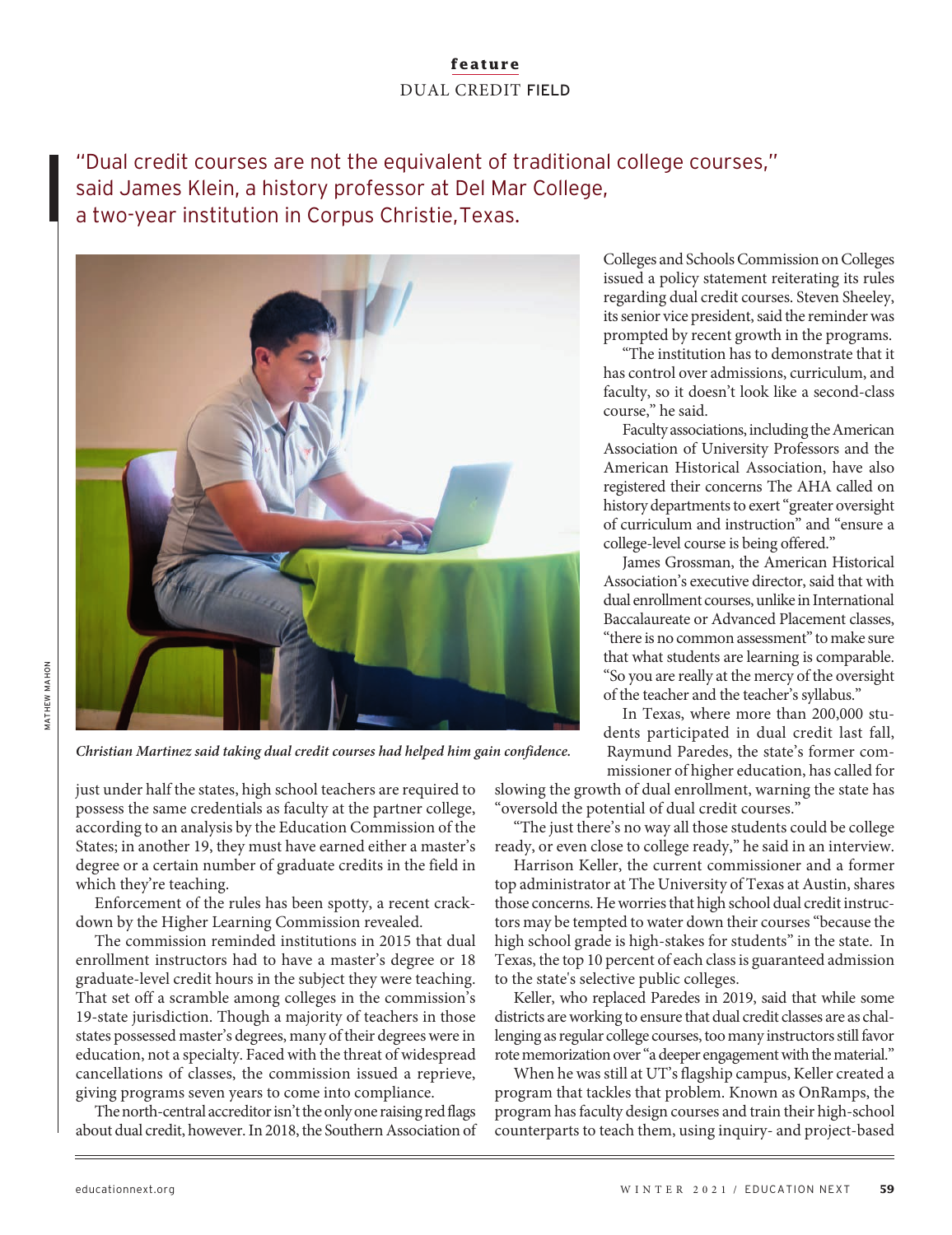# **feature** DUAL CREDIT FIELD

"Dual credit courses are not the equivalent of traditional college courses," said James Klein, a history professor at Del Mar College, a two-year institution in Corpus Christie, Texas.



*Christian Martinez said taking dual credit courses had helped him gain confidence.*

just under half the states, high school teachers are required to possess the same credentials as faculty at the partner college, according to an analysis by the Education Commission of the States; in another 19, they must have earned either a master's degree or a certain number of graduate credits in the field in which they're teaching.

Enforcement of the rules has been spotty, a recent crackdown by the Higher Learning Commission revealed.

The commission reminded institutions in 2015 that dual enrollment instructors had to have a master's degree or 18 graduate-level credit hours in the subject they were teaching. That set off a scramble among colleges in the commission's 19-state jurisdiction. Though a majority of teachers in those states possessed master's degrees, many of their degrees were in education, not a specialty. Faced with the threat of widespread cancellations of classes, the commission issued a reprieve, giving programs seven years to come into compliance.

The north-central accreditor isn't the only one raising red flags about dual credit, however. In 2018, the Southern Association of Colleges and Schools Commission on Colleges issued a policy statement reiterating its rules regarding dual credit courses. Steven Sheeley, its senior vice president, said the reminder was prompted by recent growth in the programs.

"The institution has to demonstrate that it has control over admissions, curriculum, and faculty, so it doesn't look like a second-class course," he said.

Faculty associations, including the American Association of University Professors and the American Historical Association, have also registered their concerns The AHA called on history departments to exert "greater oversight of curriculum and instruction" and "ensure a college-level course is being offered."

James Grossman, the American Historical Association's executive director, said that with dual enrollment courses, unlike in International Baccalaureate or Advanced Placement classes, "there is no common assessment" to make sure that what students are learning is comparable. "So you are really at the mercy of the oversight of the teacher and the teacher's syllabus."

In Texas, where more than 200,000 students participated in dual credit last fall, Raymund Paredes, the state's former commissioner of higher education, has called for

slowing the growth of dual enrollment, warning the state has "oversold the potential of dual credit courses."

"The just there's no way all those students could be college ready, or even close to college ready," he said in an interview.

Harrison Keller, the current commissioner and a former top administrator at The University of Texas at Austin, shares those concerns. He worries that high school dual credit instructors may be tempted to water down their courses "because the high school grade is high-stakes for students" in the state. In Texas, the top 10 percent of each class is guaranteed admission to the state's selective public colleges.

Keller, who replaced Paredes in 2019, said that while some districts are working to ensure that dual credit classes are as challenging as regular college courses, too many instructors still favor rote memorization over "a deeper engagement with the material."

When he was still at UT's flagship campus, Keller created a program that tackles that problem. Known as OnRamps, the program has faculty design courses and train their high-school counterparts to teach them, using inquiry- and project-based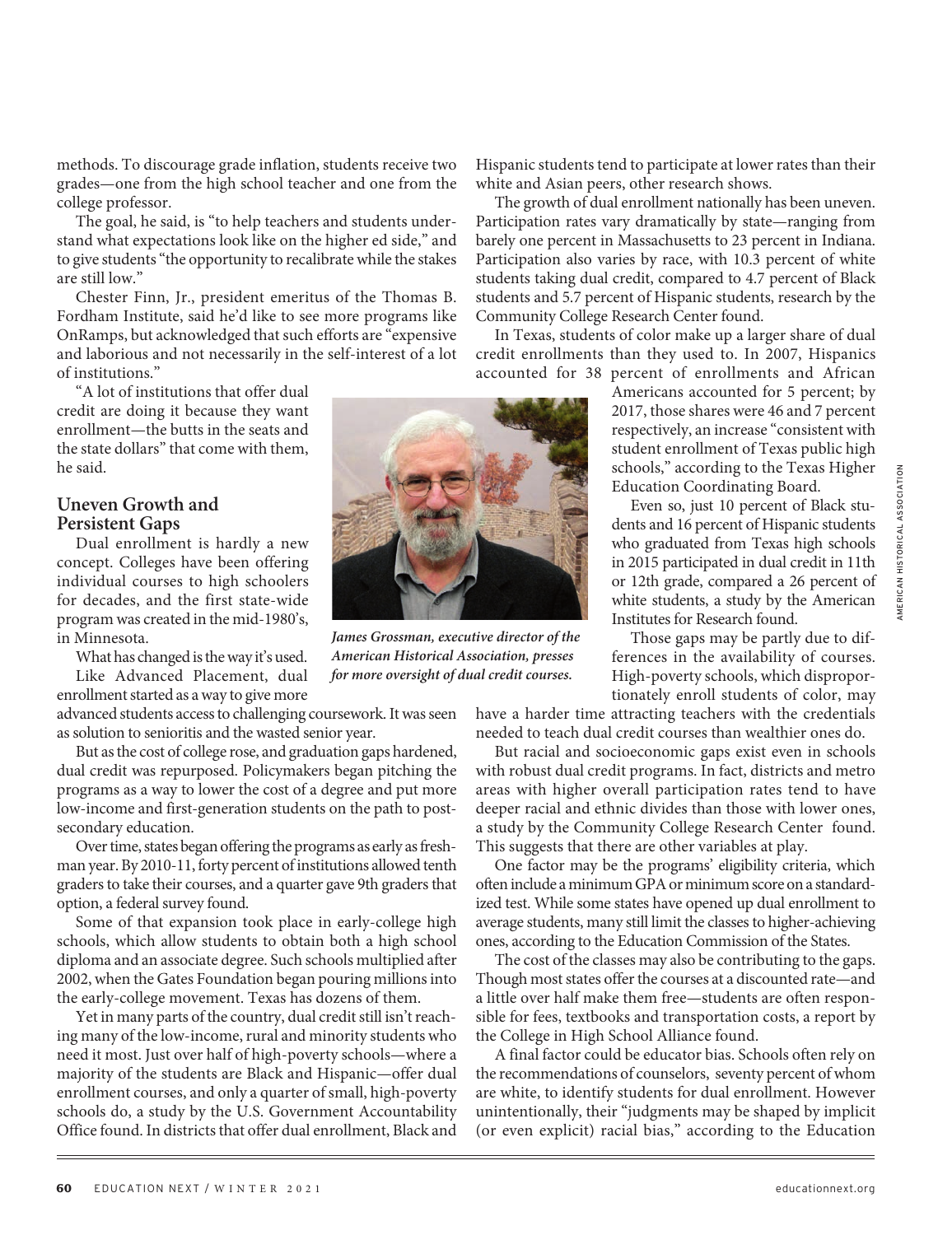methods. To discourage grade inflation, students receive two grades—one from the high school teacher and one from the college professor.

The goal, he said, is "to help teachers and students understand what expectations look like on the higher ed side," and to give students "the opportunity to recalibrate while the stakes are still low."

Chester Finn, Jr., president emeritus of the Thomas B. Fordham Institute, said he'd like to see more programs like OnRamps, but acknowledged that such efforts are "expensive and laborious and not necessarily in the self-interest of a lot of institutions."

"A lot of institutions that offer dual credit are doing it because they want enrollment—the butts in the seats and the state dollars" that come with them, he said.

### **Uneven Growth and Persistent Gaps**

Dual enrollment is hardly a new concept. Colleges have been offering individual courses to high schoolers for decades, and the first state-wide program was created in the mid-1980's, in Minnesota.

What has changed is the way it's used.

Like Advanced Placement, dual enrollment started as a way to give more

advanced students access to challenging coursework. It was seen as solution to senioritis and the wasted senior year.

But as the cost of college rose, and graduation gaps hardened, dual credit was repurposed. Policymakers began pitching the programs as a way to lower the cost of a degree and put more low-income and first-generation students on the path to postsecondary education.

Over time, states began offering the programs as early as freshman year. By 2010-11, forty percent of institutions allowed tenth graders to take their courses, and a quarter gave 9th graders that option, a federal survey found.

Some of that expansion took place in early-college high schools, which allow students to obtain both a high school diploma and an associate degree. Such schools multiplied after 2002, when the Gates Foundation began pouring millions into the early-college movement. Texas has dozens of them.

Yet in many parts of the country, dual credit still isn't reaching many of the low-income, rural and minority students who need it most. Just over half of high-poverty schools—where a majority of the students are Black and Hispanic—offer dual enrollment courses, and only a quarter of small, high-poverty schools do, a study by the U.S. Government Accountability Office found. In districts that offer dual enrollment, Black and

*James Grossman, executive director of the American Historical Association, presses for more oversight of dual credit courses.* 

Hispanic students tend to participate at lower rates than their white and Asian peers, other research shows.

The growth of dual enrollment nationally has been uneven. Participation rates vary dramatically by state—ranging from barely one percent in Massachusetts to 23 percent in Indiana. Participation also varies by race, with 10.3 percent of white students taking dual credit, compared to 4.7 percent of Black students and 5.7 percent of Hispanic students, research by the Community College Research Center found.

In Texas, students of color make up a larger share of dual credit enrollments than they used to. In 2007, Hispanics accounted for 38 percent of enrollments and African

> Americans accounted for 5 percent; by 2017, those shares were 46 and 7 percent respectively, an increase "consistent with student enrollment of Texas public high schools," according to the Texas Higher Education Coordinating Board.

> Even so, just 10 percent of Black students and 16 percent of Hispanic students who graduated from Texas high schools in 2015 participated in dual credit in 11th or 12th grade, compared a 26 percent of white students, a study by the American Institutes for Research found.

> Those gaps may be partly due to differences in the availability of courses. High-poverty schools, which disproportionately enroll students of color, may

have a harder time attracting teachers with the credentials needed to teach dual credit courses than wealthier ones do.

But racial and socioeconomic gaps exist even in schools with robust dual credit programs. In fact, districts and metro areas with higher overall participation rates tend to have deeper racial and ethnic divides than those with lower ones, a study by the Community College Research Center found. This suggests that there are other variables at play.

One factor may be the programs' eligibility criteria, which often include a minimum GPA or minimum score on a standardized test. While some states have opened up dual enrollment to average students, many still limit the classes to higher-achieving ones, according to the Education Commission of the States.

The cost of the classes may also be contributing to the gaps. Though most states offer the courses at a discounted rate—and a little over half make them free—students are often responsible for fees, textbooks and transportation costs, a report by the College in High School Alliance found.

A final factor could be educator bias. Schools often rely on the recommendations of counselors, seventy percent of whom are white, to identify students for dual enrollment. However unintentionally, their "judgments may be shaped by implicit (or even explicit) racial bias," according to the Education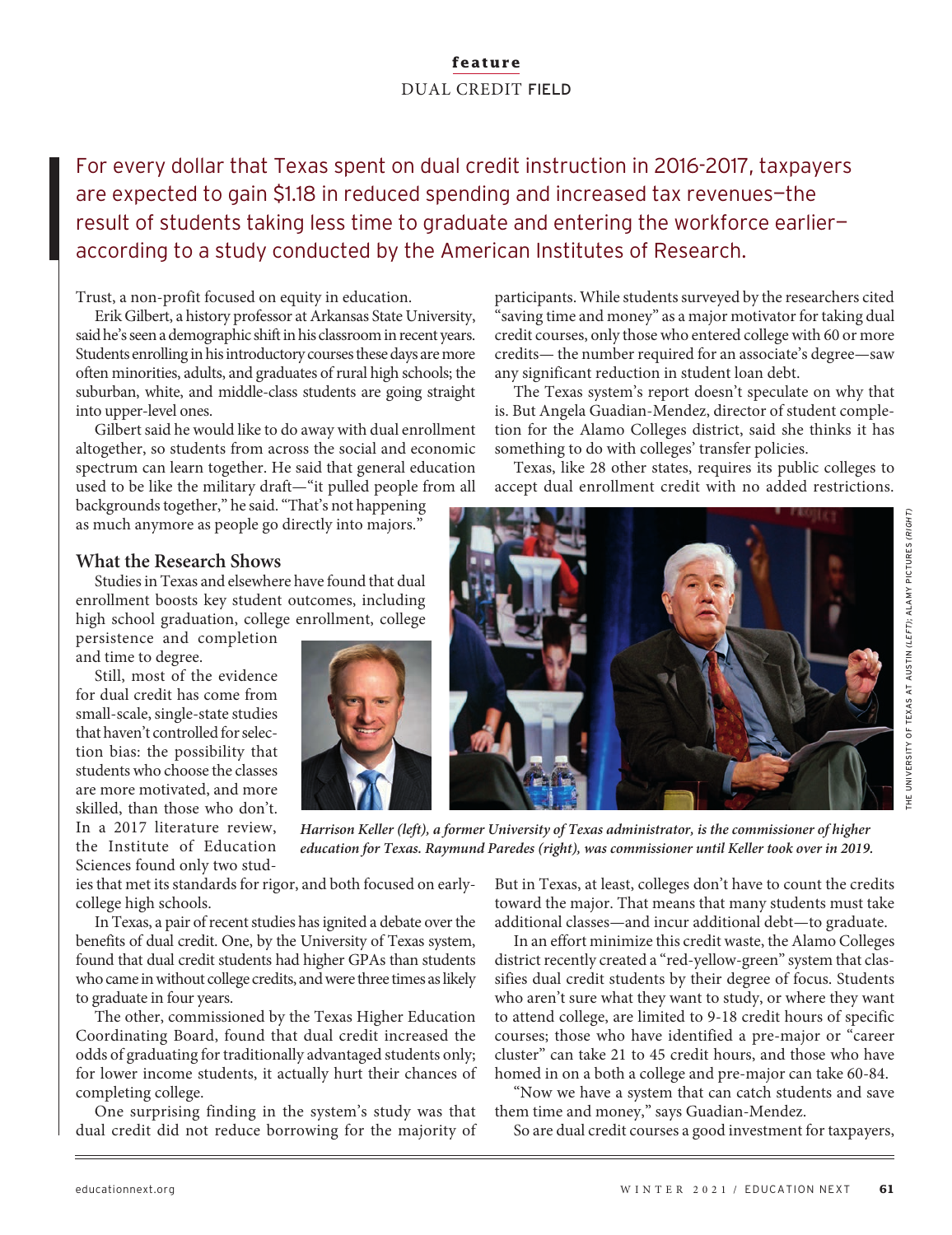# **feature** DUAL CREDIT FIELD

For every dollar that Texas spent on dual credit instruction in 2016-2017, taxpayers are expected to gain \$1.18 in reduced spending and increased tax revenues—the result of students taking less time to graduate and entering the workforce earlier according to a study conducted by the American Institutes of Research.

### Trust, a non-profit focused on equity in education.

Erik Gilbert, a history professor at Arkansas State University, said he's seen a demographic shift in his classroom in recent years. Students enrolling in his introductory courses these days are more often minorities, adults, and graduates of rural high schools; the suburban, white, and middle-class students are going straight into upper-level ones.

Gilbert said he would like to do away with dual enrollment altogether, so students from across the social and economic spectrum can learn together. He said that general education used to be like the military draft—"it pulled people from all

backgrounds together," he said. "That's not happening as much anymore as people go directly into majors."

### **What the Research Shows**

Studies in Texas and elsewhere have found that dual enrollment boosts key student outcomes, including high school graduation, college enrollment, college

persistence and completion and time to degree.

Still, most of the evidence for dual credit has come from small-scale, single-state studies that haven't controlled for selection bias: the possibility that students who choose the classes are more motivated, and more skilled, than those who don't. In a 2017 literature review, the Institute of Education Sciences found only two stud-



participants. While students surveyed by the researchers cited "saving time and money" as a major motivator for taking dual credit courses, only those who entered college with 60 or more credits— the number required for an associate's degree—saw any significant reduction in student loan debt.

The Texas system's report doesn't speculate on why that is. But Angela Guadian-Mendez, director of student completion for the Alamo Colleges district, said she thinks it has something to do with colleges' transfer policies.

Texas, like 28 other states, requires its public colleges to accept dual enrollment credit with no added restrictions.



*Harrison Keller (left), a former University of Texas administrator, is the commissioner of higher education for Texas. Raymund Paredes (right), was commissioner until Keller took over in 2019.*

ies that met its standards for rigor, and both focused on earlycollege high schools.

In Texas, a pair of recent studies has ignited a debate over the benefits of dual credit. One, by the University of Texas system, found that dual credit students had higher GPAs than students who came in without college credits, and were three times as likely to graduate in four years.

The other, commissioned by the Texas Higher Education Coordinating Board, found that dual credit increased the odds of graduating for traditionally advantaged students only; for lower income students, it actually hurt their chances of completing college.

One surprising finding in the system's study was that dual credit did not reduce borrowing for the majority of

But in Texas, at least, colleges don't have to count the credits toward the major. That means that many students must take additional classes—and incur additional debt—to graduate.

In an effort minimize this credit waste, the Alamo Colleges district recently created a "red-yellow-green" system that classifies dual credit students by their degree of focus. Students who aren't sure what they want to study, or where they want to attend college, are limited to 9-18 credit hours of specific courses; those who have identified a pre-major or "career cluster" can take 21 to 45 credit hours, and those who have homed in on a both a college and pre-major can take 60-84.

"Now we have a system that can catch students and save them time and money," says Guadian-Mendez.

So are dual credit courses a good investment for taxpayers,